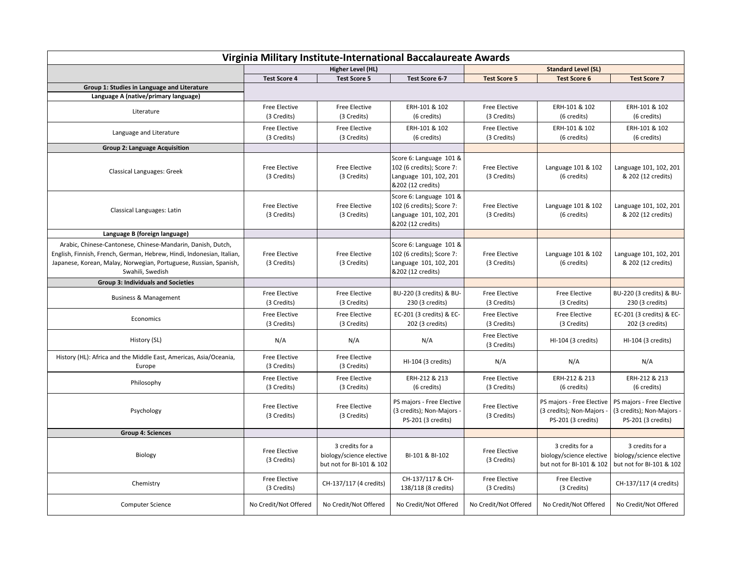| Virginia Military Institute-International Baccalaureate Awards                                                                                                                                                                |                                     |                                                                         |                                                                                                     |                                     |                                                                            |                                                                              |  |  |  |  |
|-------------------------------------------------------------------------------------------------------------------------------------------------------------------------------------------------------------------------------|-------------------------------------|-------------------------------------------------------------------------|-----------------------------------------------------------------------------------------------------|-------------------------------------|----------------------------------------------------------------------------|------------------------------------------------------------------------------|--|--|--|--|
|                                                                                                                                                                                                                               | Higher Level (HL)                   |                                                                         |                                                                                                     | <b>Standard Level (SL)</b>          |                                                                            |                                                                              |  |  |  |  |
|                                                                                                                                                                                                                               | <b>Test Score 4</b>                 | <b>Test Score 5</b>                                                     | Test Score 6-7                                                                                      | <b>Test Score 5</b>                 | <b>Test Score 6</b>                                                        | <b>Test Score 7</b>                                                          |  |  |  |  |
| Group 1: Studies in Language and Literature                                                                                                                                                                                   |                                     |                                                                         |                                                                                                     |                                     |                                                                            |                                                                              |  |  |  |  |
| Language A (native/primary language)                                                                                                                                                                                          |                                     |                                                                         |                                                                                                     |                                     |                                                                            |                                                                              |  |  |  |  |
| Literature                                                                                                                                                                                                                    | Free Elective                       | <b>Free Elective</b>                                                    | ERH-101 & 102                                                                                       | Free Elective                       | ERH-101 & 102                                                              | ERH-101 & 102                                                                |  |  |  |  |
|                                                                                                                                                                                                                               | (3 Credits)                         | (3 Credits)                                                             | (6 credits)                                                                                         | (3 Credits)                         | (6 credits)                                                                | (6 credits)                                                                  |  |  |  |  |
| Language and Literature                                                                                                                                                                                                       | Free Elective                       | <b>Free Elective</b>                                                    | ERH-101 & 102                                                                                       | Free Elective                       | ERH-101 & 102                                                              | ERH-101 & 102                                                                |  |  |  |  |
|                                                                                                                                                                                                                               | (3 Credits)                         | (3 Credits)                                                             | (6 credits)                                                                                         | (3 Credits)                         | (6 credits)                                                                | (6 credits)                                                                  |  |  |  |  |
| <b>Group 2: Language Acquisition</b>                                                                                                                                                                                          |                                     |                                                                         |                                                                                                     |                                     |                                                                            |                                                                              |  |  |  |  |
| Classical Languages: Greek                                                                                                                                                                                                    | Free Elective<br>(3 Credits)        | <b>Free Elective</b><br>(3 Credits)                                     | Score 6: Language 101 &<br>102 (6 credits); Score 7:<br>Language 101, 102, 201<br>&202 (12 credits) | Free Elective<br>(3 Credits)        | Language 101 & 102<br>(6 credits)                                          | Language 101, 102, 201<br>& 202 (12 credits)                                 |  |  |  |  |
| Classical Languages: Latin                                                                                                                                                                                                    | <b>Free Elective</b><br>(3 Credits) | <b>Free Elective</b><br>(3 Credits)                                     | Score 6: Language 101 &<br>102 (6 credits); Score 7:<br>Language 101, 102, 201<br>&202 (12 credits) | Free Elective<br>(3 Credits)        | Language 101 & 102<br>(6 credits)                                          | Language 101, 102, 201<br>& 202 (12 credits)                                 |  |  |  |  |
| Language B (foreign language)                                                                                                                                                                                                 |                                     |                                                                         |                                                                                                     |                                     |                                                                            |                                                                              |  |  |  |  |
| Arabic, Chinese-Cantonese, Chinese-Mandarin, Danish, Dutch,<br>English, Finnish, French, German, Hebrew, Hindi, Indonesian, Italian,<br>Japanese, Korean, Malay, Norwegian, Portuguese, Russian, Spanish,<br>Swahili, Swedish | <b>Free Elective</b><br>(3 Credits) | <b>Free Elective</b><br>(3 Credits)                                     | Score 6: Language 101 &<br>102 (6 credits); Score 7:<br>Language 101, 102, 201<br>&202 (12 credits) | <b>Free Elective</b><br>(3 Credits) | Language 101 & 102<br>(6 credits)                                          | Language 101, 102, 201<br>& 202 (12 credits)                                 |  |  |  |  |
| <b>Group 3: Individuals and Societies</b>                                                                                                                                                                                     |                                     |                                                                         |                                                                                                     |                                     |                                                                            |                                                                              |  |  |  |  |
| <b>Business &amp; Management</b>                                                                                                                                                                                              | Free Elective<br>(3 Credits)        | <b>Free Elective</b><br>(3 Credits)                                     | BU-220 (3 credits) & BU-<br>230 (3 credits)                                                         | Free Elective<br>(3 Credits)        | <b>Free Elective</b><br>(3 Credits)                                        | BU-220 (3 credits) & BU-<br>230 (3 credits)                                  |  |  |  |  |
| Economics                                                                                                                                                                                                                     | Free Elective<br>(3 Credits)        | <b>Free Elective</b><br>(3 Credits)                                     | EC-201 (3 credits) & EC-<br>202 (3 credits)                                                         | Free Elective<br>(3 Credits)        | <b>Free Elective</b><br>(3 Credits)                                        | EC-201 (3 credits) & EC-<br>202 (3 credits)                                  |  |  |  |  |
| History (SL)                                                                                                                                                                                                                  | N/A                                 | N/A                                                                     | N/A                                                                                                 | Free Elective<br>(3 Credits)        | HI-104 (3 credits)                                                         | HI-104 (3 credits)                                                           |  |  |  |  |
| History (HL): Africa and the Middle East, Americas, Asia/Oceania,<br>Europe                                                                                                                                                   | Free Elective<br>(3 Credits)        | <b>Free Elective</b><br>(3 Credits)                                     | HI-104 (3 credits)                                                                                  | N/A                                 | N/A                                                                        | N/A                                                                          |  |  |  |  |
| Philosophy                                                                                                                                                                                                                    | Free Elective<br>(3 Credits)        | <b>Free Elective</b><br>(3 Credits)                                     | ERH-212 & 213<br>(6 credits)                                                                        | Free Elective<br>(3 Credits)        | ERH-212 & 213<br>(6 credits)                                               | ERH-212 & 213<br>(6 credits)                                                 |  |  |  |  |
| Psychology                                                                                                                                                                                                                    | <b>Free Elective</b><br>(3 Credits) | Free Elective<br>(3 Credits)                                            | PS majors - Free Elective<br>(3 credits); Non-Majors -<br>PS-201 (3 credits)                        | Free Elective<br>(3 Credits)        | PS majors - Free Elective<br>(3 credits); Non-Majors<br>PS-201 (3 credits) | PS majors - Free Elective<br>(3 credits); Non-Majors -<br>PS-201 (3 credits) |  |  |  |  |
| <b>Group 4: Sciences</b>                                                                                                                                                                                                      |                                     |                                                                         |                                                                                                     |                                     |                                                                            |                                                                              |  |  |  |  |
| Biology                                                                                                                                                                                                                       | Free Elective<br>(3 Credits)        | 3 credits for a<br>biology/science elective<br>but not for BI-101 & 102 | BI-101 & BI-102                                                                                     | Free Elective<br>(3 Credits)        | 3 credits for a<br>biology/science elective<br>but not for BI-101 & 102    | 3 credits for a<br>biology/science elective<br>but not for BI-101 & 102      |  |  |  |  |
| Chemistry                                                                                                                                                                                                                     | Free Elective<br>(3 Credits)        | CH-137/117 (4 credits)                                                  | CH-137/117 & CH-<br>138/118 (8 credits)                                                             | Free Elective<br>(3 Credits)        | <b>Free Elective</b><br>(3 Credits)                                        | CH-137/117 (4 credits)                                                       |  |  |  |  |
| <b>Computer Science</b>                                                                                                                                                                                                       | No Credit/Not Offered               | No Credit/Not Offered                                                   | No Credit/Not Offered                                                                               | No Credit/Not Offered               | No Credit/Not Offered                                                      | No Credit/Not Offered                                                        |  |  |  |  |